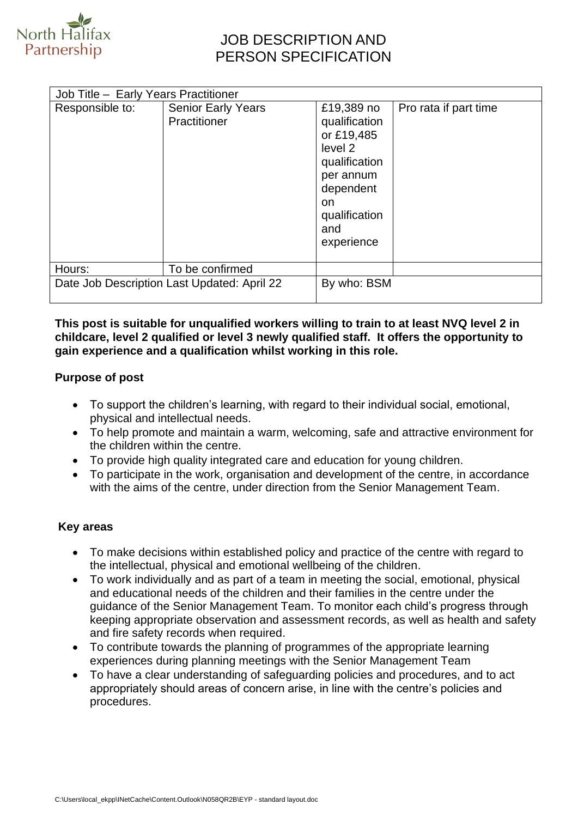

# JOB DESCRIPTION AND PERSON SPECIFICATION

| Responsible to:                             | <b>Senior Early Years</b> | £19,389 no                                                                                                                     | Pro rata if part time |
|---------------------------------------------|---------------------------|--------------------------------------------------------------------------------------------------------------------------------|-----------------------|
|                                             | Practitioner              | qualification<br>or £19,485<br>level 2<br>qualification<br>per annum<br>dependent<br>on.<br>qualification<br>and<br>experience |                       |
| Hours:                                      | To be confirmed           |                                                                                                                                |                       |
| Date Job Description Last Updated: April 22 |                           | By who: BSM                                                                                                                    |                       |

#### **This post is suitable for unqualified workers willing to train to at least NVQ level 2 in childcare, level 2 qualified or level 3 newly qualified staff. It offers the opportunity to gain experience and a qualification whilst working in this role.**

#### **Purpose of post**

- To support the children's learning, with regard to their individual social, emotional, physical and intellectual needs.
- To help promote and maintain a warm, welcoming, safe and attractive environment for the children within the centre.
- To provide high quality integrated care and education for young children.
- To participate in the work, organisation and development of the centre, in accordance with the aims of the centre, under direction from the Senior Management Team.

## **Key areas**

- To make decisions within established policy and practice of the centre with regard to the intellectual, physical and emotional wellbeing of the children.
- To work individually and as part of a team in meeting the social, emotional, physical and educational needs of the children and their families in the centre under the guidance of the Senior Management Team. To monitor each child's progress through keeping appropriate observation and assessment records, as well as health and safety and fire safety records when required.
- To contribute towards the planning of programmes of the appropriate learning experiences during planning meetings with the Senior Management Team
- To have a clear understanding of safeguarding policies and procedures, and to act appropriately should areas of concern arise, in line with the centre's policies and procedures.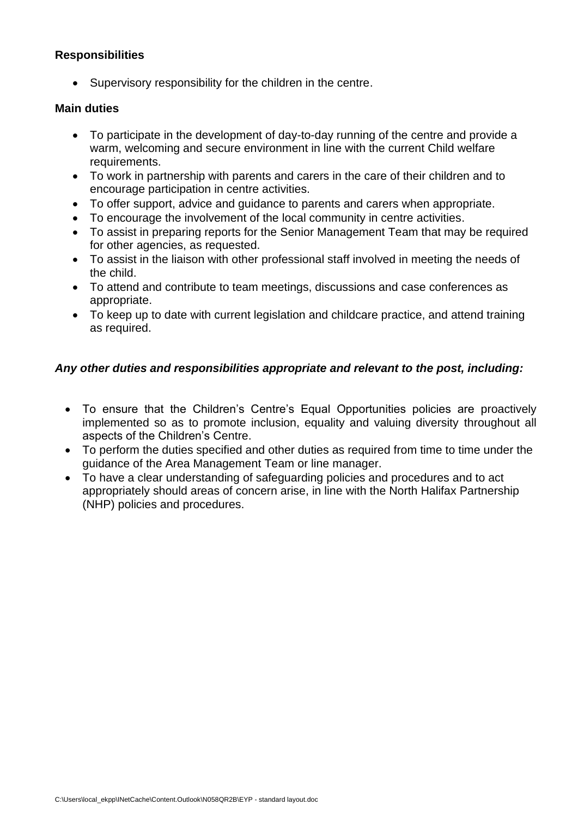## **Responsibilities**

• Supervisory responsibility for the children in the centre.

#### **Main duties**

- To participate in the development of day-to-day running of the centre and provide a warm, welcoming and secure environment in line with the current Child welfare requirements.
- To work in partnership with parents and carers in the care of their children and to encourage participation in centre activities.
- To offer support, advice and guidance to parents and carers when appropriate.
- To encourage the involvement of the local community in centre activities.
- To assist in preparing reports for the Senior Management Team that may be required for other agencies, as requested.
- To assist in the liaison with other professional staff involved in meeting the needs of the child.
- To attend and contribute to team meetings, discussions and case conferences as appropriate.
- To keep up to date with current legislation and childcare practice, and attend training as required.

## *Any other duties and responsibilities appropriate and relevant to the post, including:*

- To ensure that the Children's Centre's Equal Opportunities policies are proactively implemented so as to promote inclusion, equality and valuing diversity throughout all aspects of the Children's Centre.
- To perform the duties specified and other duties as required from time to time under the guidance of the Area Management Team or line manager.
- To have a clear understanding of safeguarding policies and procedures and to act appropriately should areas of concern arise, in line with the North Halifax Partnership (NHP) policies and procedures.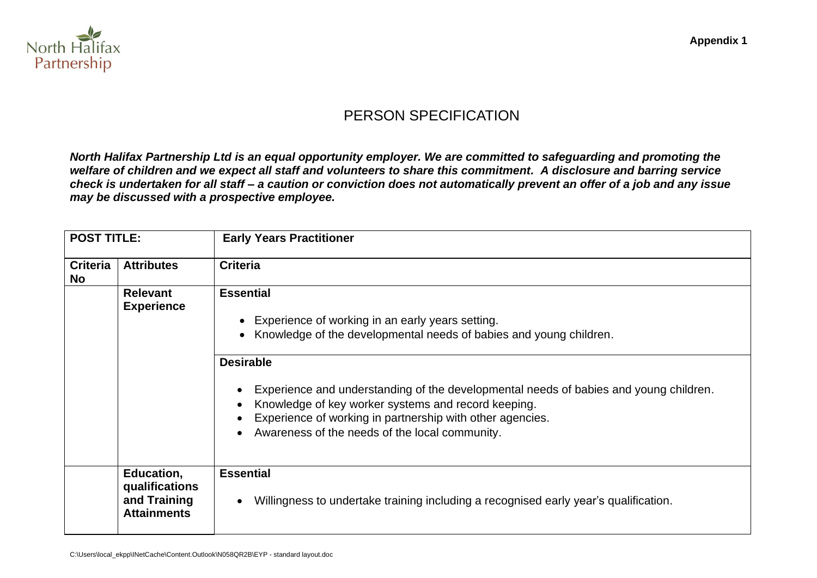

# PERSON SPECIFICATION

*North Halifax Partnership Ltd is an equal opportunity employer. We are committed to safeguarding and promoting the welfare of children and we expect all staff and volunteers to share this commitment. A disclosure and barring service check is undertaken for all staff – a caution or conviction does not automatically prevent an offer of a job and any issue may be discussed with a prospective employee.*

| <b>POST TITLE:</b>           |                                                                    | <b>Early Years Practitioner</b>                                                                                                                                                                                                                                                                                                                                                                                                                         |
|------------------------------|--------------------------------------------------------------------|---------------------------------------------------------------------------------------------------------------------------------------------------------------------------------------------------------------------------------------------------------------------------------------------------------------------------------------------------------------------------------------------------------------------------------------------------------|
| <b>Criteria</b><br><b>No</b> | <b>Attributes</b>                                                  | <b>Criteria</b>                                                                                                                                                                                                                                                                                                                                                                                                                                         |
|                              | <b>Relevant</b><br><b>Experience</b>                               | <b>Essential</b><br>Experience of working in an early years setting.<br>$\bullet$<br>Knowledge of the developmental needs of babies and young children.<br>$\bullet$<br><b>Desirable</b><br>Experience and understanding of the developmental needs of babies and young children.<br>Knowledge of key worker systems and record keeping.<br>Experience of working in partnership with other agencies.<br>Awareness of the needs of the local community. |
|                              | Education,<br>qualifications<br>and Training<br><b>Attainments</b> | <b>Essential</b><br>Willingness to undertake training including a recognised early year's qualification.                                                                                                                                                                                                                                                                                                                                                |